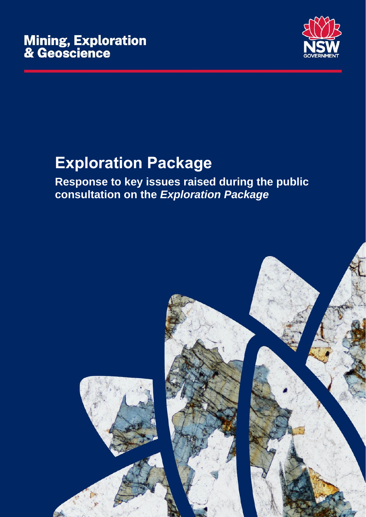

# **Exploration Package**

**Response to key issues raised during the public consultation on the** *Exploration Package*

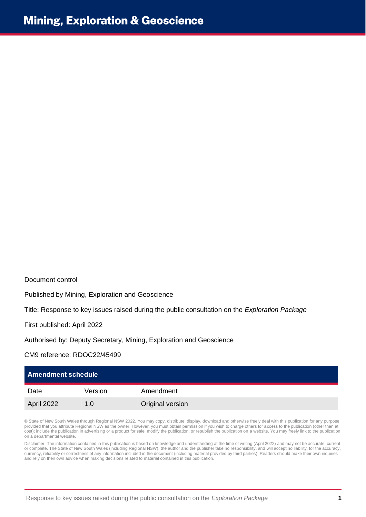Document control

Published by Mining, Exploration and Geoscience

Title: Response to key issues raised during the public consultation on the *Exploration Package*

First published: April 2022

Authorised by: Deputy Secretary, Mining, Exploration and Geoscience

#### CM9 reference: RDOC22/45499

| <b>Amendment schedule</b> |         |                  |  |
|---------------------------|---------|------------------|--|
| Date                      | Version | Amendment        |  |
| April 2022                | 1.0     | Original version |  |

© State of New South Wales through Regional NSW 2022. You may copy, distribute, display, download and otherwise freely deal with this publication for any purpose, provided that you attribute Regional NSW as the owner. However, you must obtain permission if you wish to charge others for access to the publication (other than at cost); include the publication in advertising or a product for sale; modify the publication; or republish the publication on a website. You may freely link to the publication on a departmental website.

Disclaimer: The information contained in this publication is based on knowledge and understanding at the time of writing (April 2022) and may not be accurate, current or complete. The State of New South Wales (including Regional NSW), the author and the publisher take no responsibility, and will accept no liability, for the accuracy, currency, reliability or correctness of any information included in the document (including material provided by third parties). Readers should make their own inquiries and rely on their own advice when making decisions related to material contained in this publication.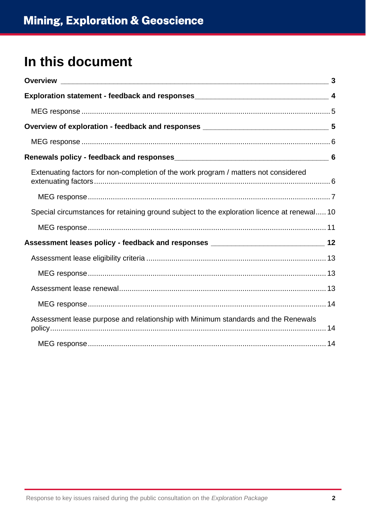# **In this document**

|                                                                                             | $\mathbf{3}$ |
|---------------------------------------------------------------------------------------------|--------------|
|                                                                                             |              |
|                                                                                             |              |
|                                                                                             |              |
|                                                                                             |              |
|                                                                                             |              |
| Extenuating factors for non-completion of the work program / matters not considered         |              |
|                                                                                             |              |
| Special circumstances for retaining ground subject to the exploration licence at renewal 10 |              |
|                                                                                             |              |
| Assessment leases policy - feedback and responses _______________________________ 12        |              |
|                                                                                             |              |
|                                                                                             |              |
|                                                                                             |              |
|                                                                                             |              |
| Assessment lease purpose and relationship with Minimum standards and the Renewals           |              |
|                                                                                             |              |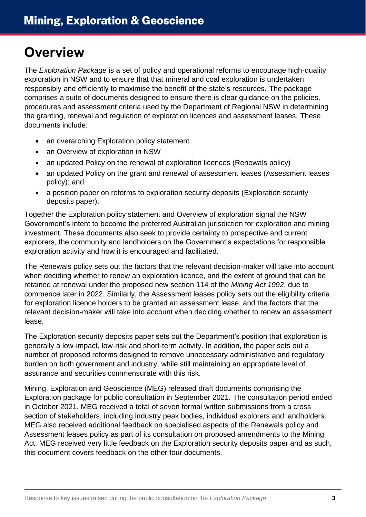# <span id="page-3-0"></span>**Overview**

The *Exploration Package* is a set of policy and operational reforms to encourage high-quality exploration in NSW and to ensure that that mineral and coal exploration is undertaken responsibly and efficiently to maximise the benefit of the state's resources. The package comprises a suite of documents designed to ensure there is clear guidance on the policies, procedures and assessment criteria used by the Department of Regional NSW in determining the granting, renewal and regulation of exploration licences and assessment leases. These documents include:

- an overarching Exploration policy statement
- an Overview of exploration in NSW
- an updated Policy on the renewal of exploration licences (Renewals policy)
- an updated Policy on the grant and renewal of assessment leases (Assessment leases policy); and
- a position paper on reforms to exploration security deposits (Exploration security deposits paper).

Together the Exploration policy statement and Overview of exploration signal the NSW Government's intent to become the preferred Australian jurisdiction for exploration and mining investment. These documents also seek to provide certainty to prospective and current explorers, the community and landholders on the Government's expectations for responsible exploration activity and how it is encouraged and facilitated.

The Renewals policy sets out the factors that the relevant decision-maker will take into account when deciding whether to renew an exploration licence, and the extent of ground that can be retained at renewal under the proposed new section 114 of the *Mining Act 1992*, due to commence later in 2022. Similarly, the Assessment leases policy sets out the eligibility criteria for exploration licence holders to be granted an assessment lease, and the factors that the relevant decision-maker will take into account when deciding whether to renew an assessment lease.

The Exploration security deposits paper sets out the Department's position that exploration is generally a low-impact, low-risk and short-term activity. In addition, the paper sets out a number of proposed reforms designed to remove unnecessary administrative and regulatory burden on both government and industry, while still maintaining an appropriate level of assurance and securities commensurate with this risk.

Mining, Exploration and Geoscience (MEG) released draft documents comprising the Exploration package for public consultation in September 2021. The consultation period ended in October 2021. MEG received a total of seven formal written submissions from a cross section of stakeholders, including industry peak bodies, individual explorers and landholders. MEG also received additional feedback on specialised aspects of the Renewals policy and Assessment leases policy as part of its consultation on proposed amendments to the Mining Act. MEG received very little feedback on the Exploration security deposits paper and as such, this document covers feedback on the other four documents.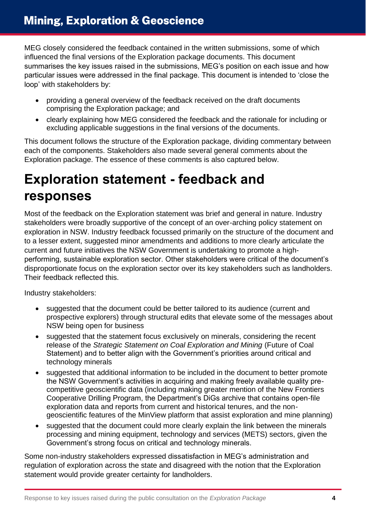MEG closely considered the feedback contained in the written submissions, some of which influenced the final versions of the Exploration package documents. This document summarises the key issues raised in the submissions, MEG's position on each issue and how particular issues were addressed in the final package. This document is intended to 'close the loop' with stakeholders by:

- providing a general overview of the feedback received on the draft documents comprising the Exploration package; and
- clearly explaining how MEG considered the feedback and the rationale for including or excluding applicable suggestions in the final versions of the documents.

This document follows the structure of the Exploration package, dividing commentary between each of the components. Stakeholders also made several general comments about the Exploration package. The essence of these comments is also captured below.

# <span id="page-4-0"></span>**Exploration statement - feedback and responses**

Most of the feedback on the Exploration statement was brief and general in nature. Industry stakeholders were broadly supportive of the concept of an over-arching policy statement on exploration in NSW. Industry feedback focussed primarily on the structure of the document and to a lesser extent, suggested minor amendments and additions to more clearly articulate the current and future initiatives the NSW Government is undertaking to promote a highperforming, sustainable exploration sector. Other stakeholders were critical of the document's disproportionate focus on the exploration sector over its key stakeholders such as landholders. Their feedback reflected this.

Industry stakeholders:

- suggested that the document could be better tailored to its audience (current and prospective explorers) through structural edits that elevate some of the messages about NSW being open for business
- suggested that the statement focus exclusively on minerals, considering the recent release of the *Strategic Statement on Coal Exploration and Mining* (Future of Coal Statement) and to better align with the Government's priorities around critical and technology minerals
- suggested that additional information to be included in the document to better promote the NSW Government's activities in acquiring and making freely available quality precompetitive geoscientific data (including making greater mention of the New Frontiers Cooperative Drilling Program, the Department's DiGs archive that contains open-file exploration data and reports from current and historical tenures, and the nongeoscientific features of the MinView platform that assist exploration and mine planning)
- suggested that the document could more clearly explain the link between the minerals processing and mining equipment, technology and services (METS) sectors, given the Government's strong focus on critical and technology minerals.

Some non-industry stakeholders expressed dissatisfaction in MEG's administration and regulation of exploration across the state and disagreed with the notion that the Exploration statement would provide greater certainty for landholders.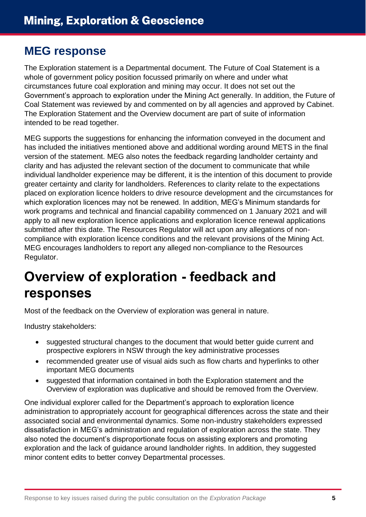## <span id="page-5-0"></span>**MEG response**

The Exploration statement is a Departmental document. The Future of Coal Statement is a whole of government policy position focussed primarily on where and under what circumstances future coal exploration and mining may occur. It does not set out the Government's approach to exploration under the Mining Act generally. In addition, the Future of Coal Statement was reviewed by and commented on by all agencies and approved by Cabinet. The Exploration Statement and the Overview document are part of suite of information intended to be read together.

MEG supports the suggestions for enhancing the information conveyed in the document and has included the initiatives mentioned above and additional wording around METS in the final version of the statement. MEG also notes the feedback regarding landholder certainty and clarity and has adjusted the relevant section of the document to communicate that while individual landholder experience may be different, it is the intention of this document to provide greater certainty and clarity for landholders. References to clarity relate to the expectations placed on exploration licence holders to drive resource development and the circumstances for which exploration licences may not be renewed. In addition, MEG's Minimum standards for work programs and technical and financial capability commenced on 1 January 2021 and will apply to all new exploration licence applications and exploration licence renewal applications submitted after this date. The Resources Regulator will act upon any allegations of noncompliance with exploration licence conditions and the relevant provisions of the Mining Act. MEG encourages landholders to report any alleged non-compliance to the Resources Regulator.

# <span id="page-5-1"></span>**Overview of exploration - feedback and responses**

Most of the feedback on the Overview of exploration was general in nature.

Industry stakeholders:

- suggested structural changes to the document that would better guide current and prospective explorers in NSW through the key administrative processes
- recommended greater use of visual aids such as flow charts and hyperlinks to other important MEG documents
- suggested that information contained in both the Exploration statement and the Overview of exploration was duplicative and should be removed from the Overview.

One individual explorer called for the Department's approach to exploration licence administration to appropriately account for geographical differences across the state and their associated social and environmental dynamics. Some non-industry stakeholders expressed dissatisfaction in MEG's administration and regulation of exploration across the state. They also noted the document's disproportionate focus on assisting explorers and promoting exploration and the lack of guidance around landholder rights. In addition, they suggested minor content edits to better convey Departmental processes.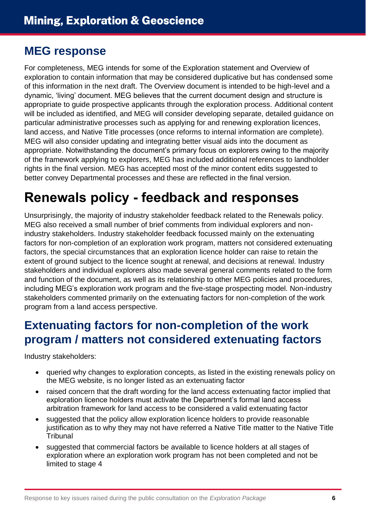## <span id="page-6-0"></span>**MEG response**

For completeness, MEG intends for some of the Exploration statement and Overview of exploration to contain information that may be considered duplicative but has condensed some of this information in the next draft. The Overview document is intended to be high-level and a dynamic, 'living' document. MEG believes that the current document design and structure is appropriate to guide prospective applicants through the exploration process. Additional content will be included as identified, and MEG will consider developing separate, detailed guidance on particular administrative processes such as applying for and renewing exploration licences, land access, and Native Title processes (once reforms to internal information are complete). MEG will also consider updating and integrating better visual aids into the document as appropriate. Notwithstanding the document's primary focus on explorers owing to the majority of the framework applying to explorers, MEG has included additional references to landholder rights in the final version. MEG has accepted most of the minor content edits suggested to better convey Departmental processes and these are reflected in the final version.

# <span id="page-6-1"></span>**Renewals policy - feedback and responses**

Unsurprisingly, the majority of industry stakeholder feedback related to the Renewals policy. MEG also received a small number of brief comments from individual explorers and nonindustry stakeholders. Industry stakeholder feedback focussed mainly on the extenuating factors for non-completion of an exploration work program, matters not considered extenuating factors, the special circumstances that an exploration licence holder can raise to retain the extent of ground subject to the licence sought at renewal, and decisions at renewal. Industry stakeholders and individual explorers also made several general comments related to the form and function of the document, as well as its relationship to other MEG policies and procedures, including MEG's exploration work program and the five-stage prospecting model. Non-industry stakeholders commented primarily on the extenuating factors for non-completion of the work program from a land access perspective.

## <span id="page-6-2"></span>**Extenuating factors for non-completion of the work program / matters not considered extenuating factors**

Industry stakeholders:

- queried why changes to exploration concepts, as listed in the existing renewals policy on the MEG website, is no longer listed as an extenuating factor
- raised concern that the draft wording for the land access extenuating factor implied that exploration licence holders must activate the Department's formal land access arbitration framework for land access to be considered a valid extenuating factor
- suggested that the policy allow exploration licence holders to provide reasonable justification as to why they may not have referred a Native Title matter to the Native Title **Tribunal**
- suggested that commercial factors be available to licence holders at all stages of exploration where an exploration work program has not been completed and not be limited to stage 4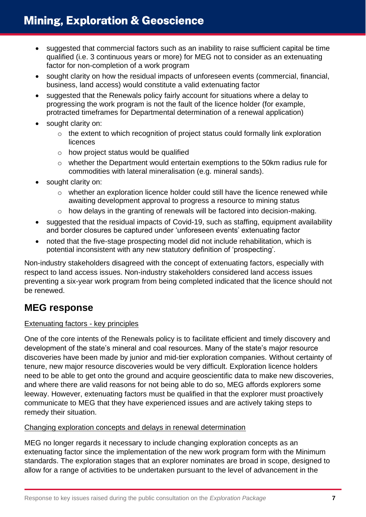- suggested that commercial factors such as an inability to raise sufficient capital be time qualified (i.e. 3 continuous years or more) for MEG not to consider as an extenuating factor for non-completion of a work program
- sought clarity on how the residual impacts of unforeseen events (commercial, financial, business, land access) would constitute a valid extenuating factor
- suggested that the Renewals policy fairly account for situations where a delay to progressing the work program is not the fault of the licence holder (for example, protracted timeframes for Departmental determination of a renewal application)
- sought clarity on:
	- o the extent to which recognition of project status could formally link exploration licences
	- $\circ$  how project status would be qualified
	- $\circ$  whether the Department would entertain exemptions to the 50km radius rule for commodities with lateral mineralisation (e.g. mineral sands).
- sought clarity on:
	- o whether an exploration licence holder could still have the licence renewed while awaiting development approval to progress a resource to mining status
	- $\circ$  how delays in the granting of renewals will be factored into decision-making.
- suggested that the residual impacts of Covid-19, such as staffing, equipment availability and border closures be captured under 'unforeseen events' extenuating factor
- noted that the five-stage prospecting model did not include rehabilitation, which is potential inconsistent with any new statutory definition of 'prospecting'.

Non-industry stakeholders disagreed with the concept of extenuating factors, especially with respect to land access issues. Non-industry stakeholders considered land access issues preventing a six-year work program from being completed indicated that the licence should not be renewed.

### <span id="page-7-0"></span>**MEG response**

#### Extenuating factors - key principles

One of the core intents of the Renewals policy is to facilitate efficient and timely discovery and development of the state's mineral and coal resources. Many of the state's major resource discoveries have been made by junior and mid-tier exploration companies. Without certainty of tenure, new major resource discoveries would be very difficult. Exploration licence holders need to be able to get onto the ground and acquire geoscientific data to make new discoveries, and where there are valid reasons for not being able to do so, MEG affords explorers some leeway. However, extenuating factors must be qualified in that the explorer must proactively communicate to MEG that they have experienced issues and are actively taking steps to remedy their situation.

#### Changing exploration concepts and delays in renewal determination

MEG no longer regards it necessary to include changing exploration concepts as an extenuating factor since the implementation of the new work program form with the Minimum standards. The exploration stages that an explorer nominates are broad in scope, designed to allow for a range of activities to be undertaken pursuant to the level of advancement in the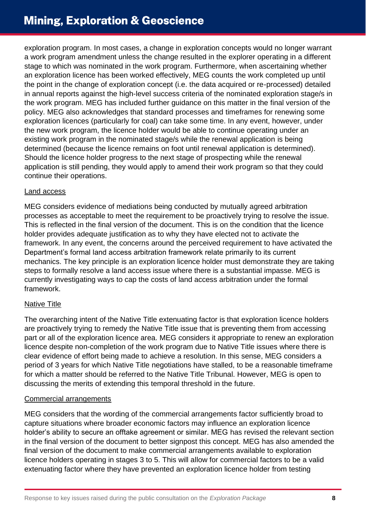exploration program. In most cases, a change in exploration concepts would no longer warrant a work program amendment unless the change resulted in the explorer operating in a different stage to which was nominated in the work program. Furthermore, when ascertaining whether an exploration licence has been worked effectively, MEG counts the work completed up until the point in the change of exploration concept (i.e. the data acquired or re-processed) detailed in annual reports against the high-level success criteria of the nominated exploration stage/s in the work program. MEG has included further guidance on this matter in the final version of the policy. MEG also acknowledges that standard processes and timeframes for renewing some exploration licences (particularly for coal) can take some time. In any event, however, under the new work program, the licence holder would be able to continue operating under an existing work program in the nominated stage/s while the renewal application is being determined (because the licence remains on foot until renewal application is determined). Should the licence holder progress to the next stage of prospecting while the renewal application is still pending, they would apply to amend their work program so that they could continue their operations.

#### Land access

MEG considers evidence of mediations being conducted by mutually agreed arbitration processes as acceptable to meet the requirement to be proactively trying to resolve the issue. This is reflected in the final version of the document. This is on the condition that the licence holder provides adequate justification as to why they have elected not to activate the framework. In any event, the concerns around the perceived requirement to have activated the Department's formal land access arbitration framework relate primarily to its current mechanics. The key principle is an exploration licence holder must demonstrate they are taking steps to formally resolve a land access issue where there is a substantial impasse. MEG is currently investigating ways to cap the costs of land access arbitration under the formal framework.

#### **Native Title**

The overarching intent of the Native Title extenuating factor is that exploration licence holders are proactively trying to remedy the Native Title issue that is preventing them from accessing part or all of the exploration licence area. MEG considers it appropriate to renew an exploration licence despite non-completion of the work program due to Native Title issues where there is clear evidence of effort being made to achieve a resolution. In this sense, MEG considers a period of 3 years for which Native Title negotiations have stalled, to be a reasonable timeframe for which a matter should be referred to the Native Title Tribunal. However, MEG is open to discussing the merits of extending this temporal threshold in the future.

#### Commercial arrangements

MEG considers that the wording of the commercial arrangements factor sufficiently broad to capture situations where broader economic factors may influence an exploration licence holder's ability to secure an offtake agreement or similar. MEG has revised the relevant section in the final version of the document to better signpost this concept. MEG has also amended the final version of the document to make commercial arrangements available to exploration licence holders operating in stages 3 to 5. This will allow for commercial factors to be a valid extenuating factor where they have prevented an exploration licence holder from testing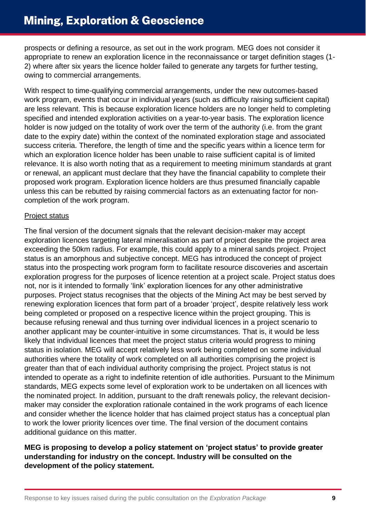prospects or defining a resource, as set out in the work program. MEG does not consider it appropriate to renew an exploration licence in the reconnaissance or target definition stages (1- 2) where after six years the licence holder failed to generate any targets for further testing, owing to commercial arrangements.

With respect to time-qualifying commercial arrangements, under the new outcomes-based work program, events that occur in individual years (such as difficulty raising sufficient capital) are less relevant. This is because exploration licence holders are no longer held to completing specified and intended exploration activities on a year-to-year basis. The exploration licence holder is now judged on the totality of work over the term of the authority (i.e. from the grant date to the expiry date) within the context of the nominated exploration stage and associated success criteria. Therefore, the length of time and the specific years within a licence term for which an exploration licence holder has been unable to raise sufficient capital is of limited relevance. It is also worth noting that as a requirement to meeting minimum standards at grant or renewal, an applicant must declare that they have the financial capability to complete their proposed work program. Exploration licence holders are thus presumed financially capable unless this can be rebutted by raising commercial factors as an extenuating factor for noncompletion of the work program.

#### Project status

The final version of the document signals that the relevant decision-maker may accept exploration licences targeting lateral mineralisation as part of project despite the project area exceeding the 50km radius. For example, this could apply to a mineral sands project. Project status is an amorphous and subjective concept. MEG has introduced the concept of project status into the prospecting work program form to facilitate resource discoveries and ascertain exploration progress for the purposes of licence retention at a project scale. Project status does not, nor is it intended to formally 'link' exploration licences for any other administrative purposes. Project status recognises that the objects of the Mining Act may be best served by renewing exploration licences that form part of a broader 'project', despite relatively less work being completed or proposed on a respective licence within the project grouping. This is because refusing renewal and thus turning over individual licences in a project scenario to another applicant may be counter-intuitive in some circumstances. That is, it would be less likely that individual licences that meet the project status criteria would progress to mining status in isolation. MEG will accept relatively less work being completed on some individual authorities where the totality of work completed on all authorities comprising the project is greater than that of each individual authority comprising the project. Project status is not intended to operate as a right to indefinite retention of idle authorities. Pursuant to the Minimum standards, MEG expects some level of exploration work to be undertaken on all licences with the nominated project. In addition, pursuant to the draft renewals policy, the relevant decisionmaker may consider the exploration rationale contained in the work programs of each licence and consider whether the licence holder that has claimed project status has a conceptual plan to work the lower priority licences over time. The final version of the document contains additional guidance on this matter.

#### **MEG is proposing to develop a policy statement on 'project status' to provide greater understanding for industry on the concept. Industry will be consulted on the development of the policy statement.**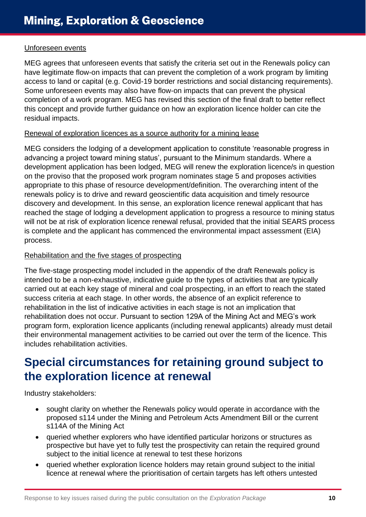#### Unforeseen events

MEG agrees that unforeseen events that satisfy the criteria set out in the Renewals policy can have legitimate flow-on impacts that can prevent the completion of a work program by limiting access to land or capital (e.g. Covid-19 border restrictions and social distancing requirements). Some unforeseen events may also have flow-on impacts that can prevent the physical completion of a work program. MEG has revised this section of the final draft to better reflect this concept and provide further guidance on how an exploration licence holder can cite the residual impacts.

#### Renewal of exploration licences as a source authority for a mining lease

MEG considers the lodging of a development application to constitute 'reasonable progress in advancing a project toward mining status', pursuant to the Minimum standards. Where a development application has been lodged, MEG will renew the exploration licence/s in question on the proviso that the proposed work program nominates stage 5 and proposes activities appropriate to this phase of resource development/definition. The overarching intent of the renewals policy is to drive and reward geoscientific data acquisition and timely resource discovery and development. In this sense, an exploration licence renewal applicant that has reached the stage of lodging a development application to progress a resource to mining status will not be at risk of exploration licence renewal refusal, provided that the initial SEARS process is complete and the applicant has commenced the environmental impact assessment (EIA) process.

#### Rehabilitation and the five stages of prospecting

The five-stage prospecting model included in the appendix of the draft Renewals policy is intended to be a non-exhaustive, indicative guide to the types of activities that are typically carried out at each key stage of mineral and coal prospecting, in an effort to reach the stated success criteria at each stage. In other words, the absence of an explicit reference to rehabilitation in the list of indicative activities in each stage is not an implication that rehabilitation does not occur. Pursuant to section 129A of the Mining Act and MEG's work program form, exploration licence applicants (including renewal applicants) already must detail their environmental management activities to be carried out over the term of the licence. This includes rehabilitation activities.

## <span id="page-10-0"></span>**Special circumstances for retaining ground subject to the exploration licence at renewal**

Industry stakeholders:

- sought clarity on whether the Renewals policy would operate in accordance with the proposed s114 under the Mining and Petroleum Acts Amendment Bill or the current s114A of the Mining Act
- queried whether explorers who have identified particular horizons or structures as prospective but have yet to fully test the prospectivity can retain the required ground subject to the initial licence at renewal to test these horizons
- queried whether exploration licence holders may retain ground subject to the initial licence at renewal where the prioritisation of certain targets has left others untested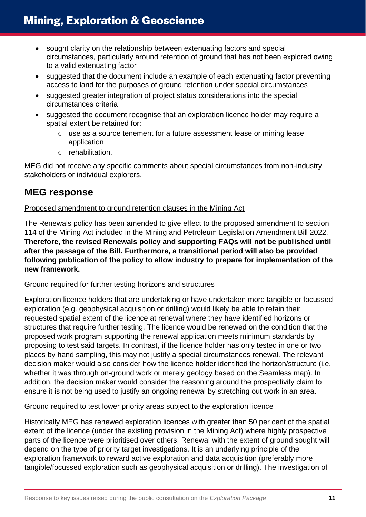- sought clarity on the relationship between extenuating factors and special circumstances, particularly around retention of ground that has not been explored owing to a valid extenuating factor
- suggested that the document include an example of each extenuating factor preventing access to land for the purposes of ground retention under special circumstances
- suggested greater integration of project status considerations into the special circumstances criteria
- suggested the document recognise that an exploration licence holder may require a spatial extent be retained for:
	- o use as a source tenement for a future assessment lease or mining lease application
	- o rehabilitation.

MEG did not receive any specific comments about special circumstances from non-industry stakeholders or individual explorers.

### <span id="page-11-0"></span>**MEG response**

#### Proposed amendment to ground retention clauses in the Mining Act

The Renewals policy has been amended to give effect to the proposed amendment to section 114 of the Mining Act included in the Mining and Petroleum Legislation Amendment Bill 2022. **Therefore, the revised Renewals policy and supporting FAQs will not be published until after the passage of the Bill. Furthermore, a transitional period will also be provided following publication of the policy to allow industry to prepare for implementation of the new framework.**

#### Ground required for further testing horizons and structures

Exploration licence holders that are undertaking or have undertaken more tangible or focussed exploration (e.g. geophysical acquisition or drilling) would likely be able to retain their requested spatial extent of the licence at renewal where they have identified horizons or structures that require further testing. The licence would be renewed on the condition that the proposed work program supporting the renewal application meets minimum standards by proposing to test said targets. In contrast, if the licence holder has only tested in one or two places by hand sampling, this may not justify a special circumstances renewal. The relevant decision maker would also consider how the licence holder identified the horizon/structure (i.e. whether it was through on-ground work or merely geology based on the Seamless map). In addition, the decision maker would consider the reasoning around the prospectivity claim to ensure it is not being used to justify an ongoing renewal by stretching out work in an area.

#### Ground required to test lower priority areas subject to the exploration licence

Historically MEG has renewed exploration licences with greater than 50 per cent of the spatial extent of the licence (under the existing provision in the Mining Act) where highly prospective parts of the licence were prioritised over others. Renewal with the extent of ground sought will depend on the type of priority target investigations. It is an underlying principle of the exploration framework to reward active exploration and data acquisition (preferably more tangible/focussed exploration such as geophysical acquisition or drilling). The investigation of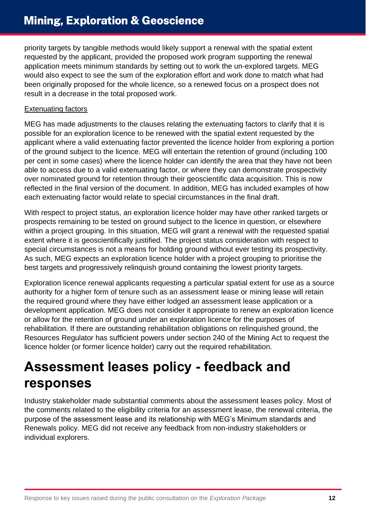priority targets by tangible methods would likely support a renewal with the spatial extent requested by the applicant, provided the proposed work program supporting the renewal application meets minimum standards by setting out to work the un-explored targets. MEG would also expect to see the sum of the exploration effort and work done to match what had been originally proposed for the whole licence, so a renewed focus on a prospect does not result in a decrease in the total proposed work.

#### Extenuating factors

MEG has made adjustments to the clauses relating the extenuating factors to clarify that it is possible for an exploration licence to be renewed with the spatial extent requested by the applicant where a valid extenuating factor prevented the licence holder from exploring a portion of the ground subject to the licence. MEG will entertain the retention of ground (including 100 per cent in some cases) where the licence holder can identify the area that they have not been able to access due to a valid extenuating factor, or where they can demonstrate prospectivity over nominated ground for retention through their geoscientific data acquisition. This is now reflected in the final version of the document. In addition, MEG has included examples of how each extenuating factor would relate to special circumstances in the final draft.

With respect to project status, an exploration licence holder may have other ranked targets or prospects remaining to be tested on ground subject to the licence in question, or elsewhere within a project grouping. In this situation, MEG will grant a renewal with the requested spatial extent where it is geoscientifically justified. The project status consideration with respect to special circumstances is not a means for holding ground without ever testing its prospectivity. As such, MEG expects an exploration licence holder with a project grouping to prioritise the best targets and progressively relinquish ground containing the lowest priority targets.

Exploration licence renewal applicants requesting a particular spatial extent for use as a source authority for a higher form of tenure such as an assessment lease or mining lease will retain the required ground where they have either lodged an assessment lease application or a development application. MEG does not consider it appropriate to renew an exploration licence or allow for the retention of ground under an exploration licence for the purposes of rehabilitation. If there are outstanding rehabilitation obligations on relinquished ground, the Resources Regulator has sufficient powers under section 240 of the Mining Act to request the licence holder (or former licence holder) carry out the required rehabilitation.

# <span id="page-12-0"></span>**Assessment leases policy - feedback and responses**

<span id="page-12-1"></span>Industry stakeholder made substantial comments about the assessment leases policy. Most of the comments related to the eligibility criteria for an assessment lease, the renewal criteria, the purpose of the assessment lease and its relationship with MEG's Minimum standards and Renewals policy. MEG did not receive any feedback from non-industry stakeholders or individual explorers.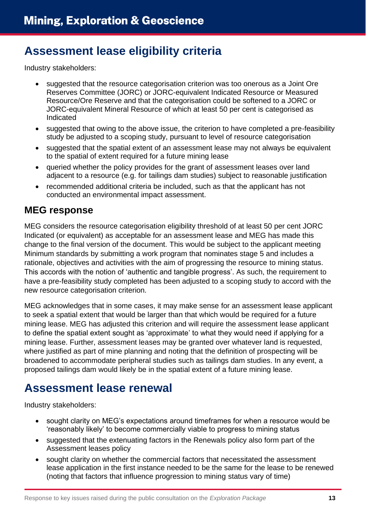## **Assessment lease eligibility criteria**

Industry stakeholders:

- suggested that the resource categorisation criterion was too onerous as a Joint Ore Reserves Committee (JORC) or JORC-equivalent Indicated Resource or Measured Resource/Ore Reserve and that the categorisation could be softened to a JORC or JORC-equivalent Mineral Resource of which at least 50 per cent is categorised as Indicated
- suggested that owing to the above issue, the criterion to have completed a pre-feasibility study be adjusted to a scoping study, pursuant to level of resource categorisation
- suggested that the spatial extent of an assessment lease may not always be equivalent to the spatial of extent required for a future mining lease
- queried whether the policy provides for the grant of assessment leases over land adjacent to a resource (e.g. for tailings dam studies) subject to reasonable justification
- recommended additional criteria be included, such as that the applicant has not conducted an environmental impact assessment.

### <span id="page-13-0"></span>**MEG response**

MEG considers the resource categorisation eligibility threshold of at least 50 per cent JORC Indicated (or equivalent) as acceptable for an assessment lease and MEG has made this change to the final version of the document. This would be subject to the applicant meeting Minimum standards by submitting a work program that nominates stage 5 and includes a rationale, objectives and activities with the aim of progressing the resource to mining status. This accords with the notion of 'authentic and tangible progress'. As such, the requirement to have a pre-feasibility study completed has been adjusted to a scoping study to accord with the new resource categorisation criterion.

MEG acknowledges that in some cases, it may make sense for an assessment lease applicant to seek a spatial extent that would be larger than that which would be required for a future mining lease. MEG has adjusted this criterion and will require the assessment lease applicant to define the spatial extent sought as 'approximate' to what they would need if applying for a mining lease. Further, assessment leases may be granted over whatever land is requested, where justified as part of mine planning and noting that the definition of prospecting will be broadened to accommodate peripheral studies such as tailings dam studies. In any event, a proposed tailings dam would likely be in the spatial extent of a future mining lease.

### <span id="page-13-1"></span>**Assessment lease renewal**

Industry stakeholders:

- sought clarity on MEG's expectations around timeframes for when a resource would be 'reasonably likely' to become commercially viable to progress to mining status
- suggested that the extenuating factors in the Renewals policy also form part of the Assessment leases policy
- sought clarity on whether the commercial factors that necessitated the assessment lease application in the first instance needed to be the same for the lease to be renewed (noting that factors that influence progression to mining status vary of time)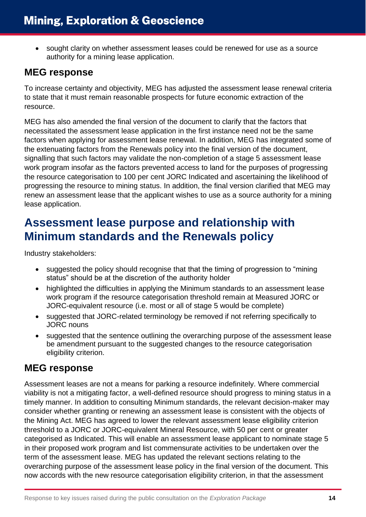• sought clarity on whether assessment leases could be renewed for use as a source authority for a mining lease application.

### <span id="page-14-0"></span>**MEG response**

To increase certainty and objectivity, MEG has adjusted the assessment lease renewal criteria to state that it must remain reasonable prospects for future economic extraction of the resource.

MEG has also amended the final version of the document to clarify that the factors that necessitated the assessment lease application in the first instance need not be the same factors when applying for assessment lease renewal. In addition, MEG has integrated some of the extenuating factors from the Renewals policy into the final version of the document, signalling that such factors may validate the non-completion of a stage 5 assessment lease work program insofar as the factors prevented access to land for the purposes of progressing the resource categorisation to 100 per cent JORC Indicated and ascertaining the likelihood of progressing the resource to mining status. In addition, the final version clarified that MEG may renew an assessment lease that the applicant wishes to use as a source authority for a mining lease application.

## <span id="page-14-1"></span>**Assessment lease purpose and relationship with Minimum standards and the Renewals policy**

Industry stakeholders:

- suggested the policy should recognise that that the timing of progression to "mining status" should be at the discretion of the authority holder
- highlighted the difficulties in applying the Minimum standards to an assessment lease work program if the resource categorisation threshold remain at Measured JORC or JORC-equivalent resource (i.e. most or all of stage 5 would be complete)
- suggested that JORC-related terminology be removed if not referring specifically to JORC nouns
- suggested that the sentence outlining the overarching purpose of the assessment lease be amendment pursuant to the suggested changes to the resource categorisation eligibility criterion.

### <span id="page-14-2"></span>**MEG response**

Assessment leases are not a means for parking a resource indefinitely. Where commercial viability is not a mitigating factor, a well-defined resource should progress to mining status in a timely manner. In addition to consulting Minimum standards, the relevant decision-maker may consider whether granting or renewing an assessment lease is consistent with the objects of the Mining Act. MEG has agreed to lower the relevant assessment lease eligibility criterion threshold to a JORC or JORC-equivalent Mineral Resource, with 50 per cent or greater categorised as Indicated. This will enable an assessment lease applicant to nominate stage 5 in their proposed work program and list commensurate activities to be undertaken over the term of the assessment lease. MEG has updated the relevant sections relating to the overarching purpose of the assessment lease policy in the final version of the document. This now accords with the new resource categorisation eligibility criterion, in that the assessment